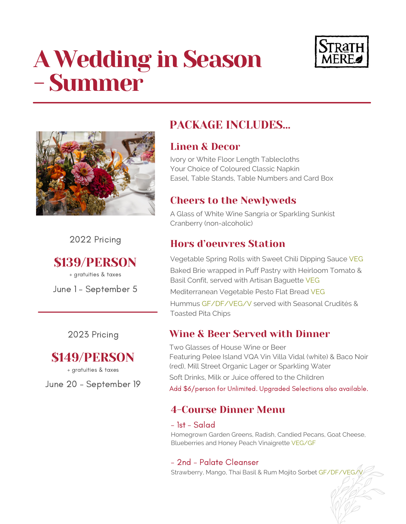# A Wedding in Season - Summer





2022 Pricing

\$139/PERSON

+ gratuities & taxes

June 1 - September 5

2023 Pricing



+ gratuities & taxes

June 20 - September 19

# PACKAGE INCLUDES…

## Linen & Decor

Ivory or White Floor Length Tablecloths Your Choice of Coloured Classic Napkin Easel, Table Stands, Table Numbers and Card Box

# Cheers to the Newlyweds

A Glass of White Wine Sangria or Sparkling Sunkist Cranberry (non-alcoholic)

# Hors d'oeuvres Station

Vegetable Spring Rolls with Sweet Chili Dipping Sauce VEG Baked Brie wrapped in Puff Pastry with Heirloom Tomato & Basil Confit, served with Artisan Baguette VEG Mediterranean Vegetable Pesto Flat Bread VEG Hummus GF/DF/VEG/V served with Seasonal Crudités & Toasted Pita Chips

## Wine & Beer Served with Dinner

Two Glasses of House Wine or Beer Featuring Pelee Island VQA Vin Villa Vidal (white) & Baco Noir (red), Mill Street Organic Lager or Sparkling Water Soft Drinks, Milk or Juice offered to the Children Add \$6/person for Unlimited. Upgraded Selections also available.

# 4-Course Dinner Menu

## - 1st - Salad

Homegrown Garden Greens, Radish, Candied Pecans, Goat Cheese, Blueberries and Honey Peach Vinaigrette VEG/GF

## - 2nd - Palate Cleanser

Strawberry, Mango, Thai Basil & Rum Mojito Sorbet GF/DF/VEG